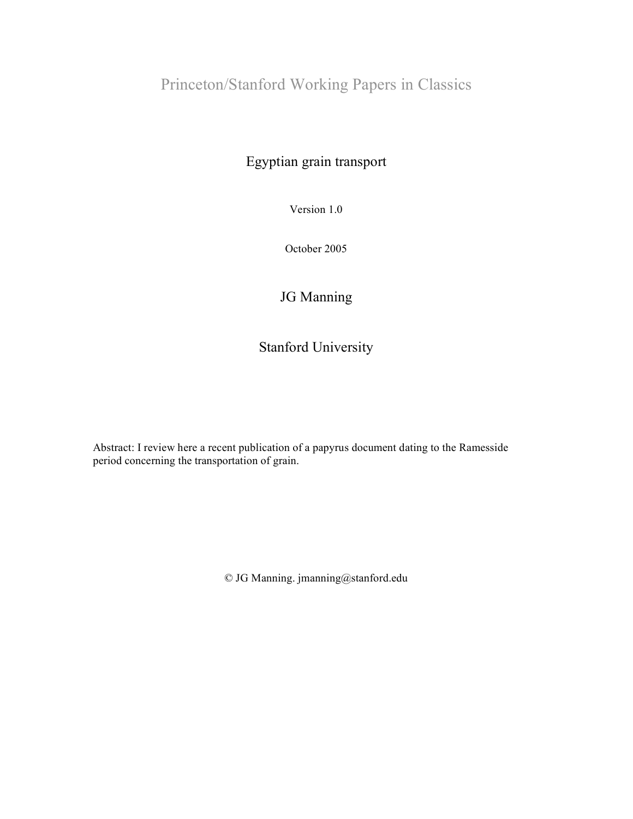## Princeton/Stanford Working Papers in Classics

## Egyptian grain transport

Version 1.0

October 2005

## JG Manning

## Stanford University

Abstract: I review here a recent publication of a papyrus document dating to the Ramesside period concerning the transportation of grain.

© JG Manning. jmanning@stanford.edu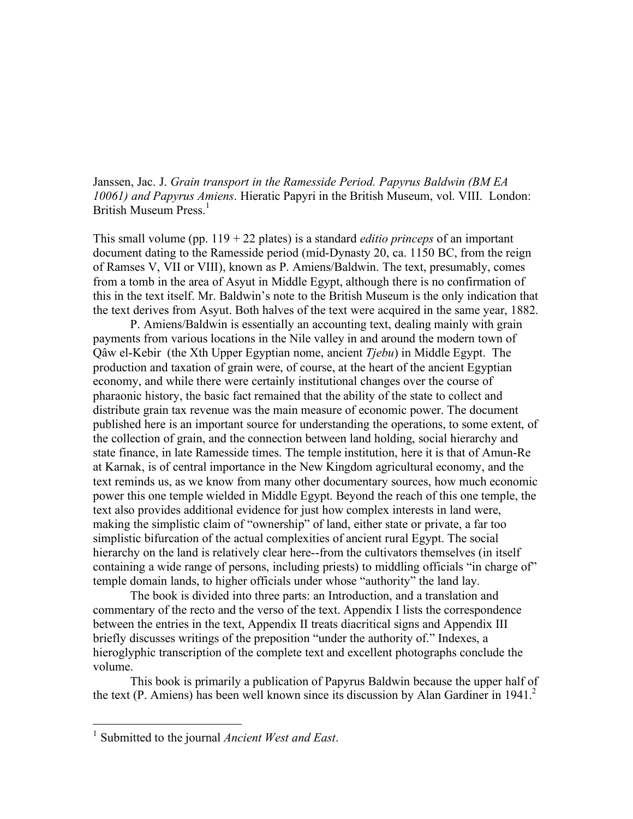Janssen, Jac. J. *Grain transport in the Ramesside Period. Papyrus Baldwin (BM EA 10061) and Papyrus Amiens*. Hieratic Papyri in the British Museum, vol. VIII. London: British Museum Press. 1

This small volume (pp.  $119 + 22$  plates) is a standard *editio princeps* of an important document dating to the Ramesside period (mid-Dynasty 20, ca. 1150 BC, from the reign of Ramses V, VII or VIII), known as P. Amiens/Baldwin. The text, presumably, comes from a tomb in the area of Asyut in Middle Egypt, although there is no confirmation of this in the text itself. Mr. Baldwin's note to the British Museum is the only indication that the text derives from Asyut. Both halves of the text were acquired in the same year, 1882.

P. Amiens/Baldwin is essentially an accounting text, dealing mainly with grain payments from various locations in the Nile valley in and around the modern town of Qâw el-Kebir (the Xth Upper Egyptian nome, ancient *Tjebu*) in Middle Egypt. The production and taxation of grain were, of course, at the heart of the ancient Egyptian economy, and while there were certainly institutional changes over the course of pharaonic history, the basic fact remained that the ability of the state to collect and distribute grain tax revenue was the main measure of economic power. The document published here is an important source for understanding the operations, to some extent, of the collection of grain, and the connection between land holding, social hierarchy and state finance, in late Ramesside times. The temple institution, here it is that of Amun-Re at Karnak, is of central importance in the New Kingdom agricultural economy, and the text reminds us, as we know from many other documentary sources, how much economic power this one temple wielded in Middle Egypt. Beyond the reach of this one temple, the text also provides additional evidence for just how complex interests in land were, making the simplistic claim of "ownership" of land, either state or private, a far too simplistic bifurcation of the actual complexities of ancient rural Egypt. The social hierarchy on the land is relatively clear here--from the cultivators themselves (in itself containing a wide range of persons, including priests) to middling officials "in charge of" temple domain lands, to higher officials under whose "authority" the land lay.

The book is divided into three parts: an Introduction, and a translation and commentary of the recto and the verso of the text. Appendix I lists the correspondence between the entries in the text, Appendix II treats diacritical signs and Appendix III briefly discusses writings of the preposition "under the authority of." Indexes, a hieroglyphic transcription of the complete text and excellent photographs conclude the volume.

This book is primarily a publication of Papyrus Baldwin because the upper half of the text (P. Amiens) has been well known since its discussion by Alan Gardiner in 1941. 2

 <sup>1</sup> Submitted to the journal *Ancient West and East*.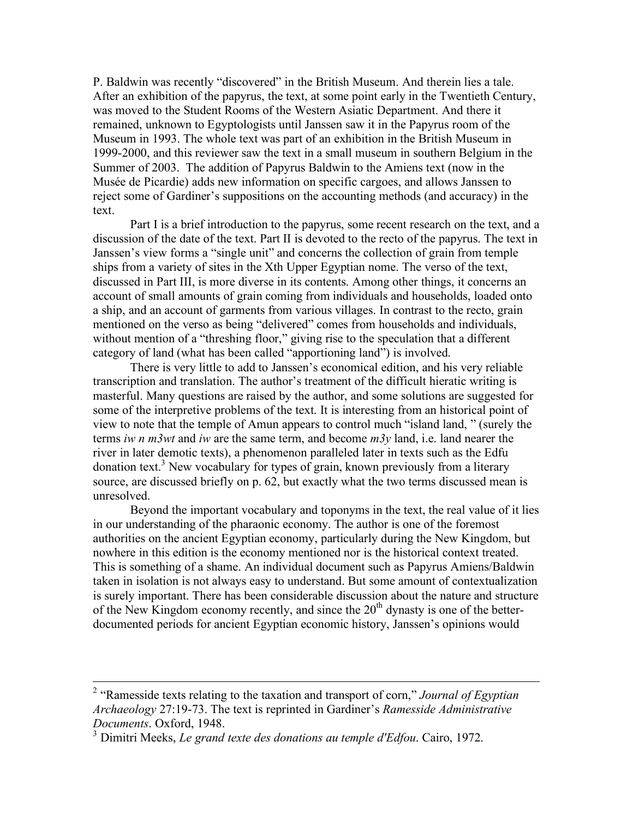P. Baldwin was recently "discovered" in the British Museum. And therein lies a tale. After an exhibition of the papyrus, the text, at some point early in the Twentieth Century, was moved to the Student Rooms of the Western Asiatic Department. And there it remained, unknown to Egyptologists until Janssen saw it in the Papyrus room of the Museum in 1993. The whole text was part of an exhibition in the British Museum in 1999-2000, and this reviewer saw the text in a small museum in southern Belgium in the Summer of 2003. The addition of Papyrus Baldwin to the Amiens text (now in the Musée de Picardie) adds new information on specific cargoes, and allows Janssen to reject some of Gardiner's suppositions on the accounting methods (and accuracy) in the text.

Part I is a brief introduction to the papyrus, some recent research on the text, and a discussion of the date of the text. Part II is devoted to the recto of the papyrus. The text in Janssen's view forms a "single unit" and concerns the collection of grain from temple ships from a variety of sites in the Xth Upper Egyptian nome. The verso of the text, discussed in Part III, is more diverse in its contents. Among other things, it concerns an account of small amounts of grain coming from individuals and households, loaded onto a ship, and an account of garments from various villages. In contrast to the recto, grain mentioned on the verso as being "delivered" comes from households and individuals, without mention of a "threshing floor," giving rise to the speculation that a different category of land (what has been called "apportioning land") is involved.

There is very little to add to Janssen's economical edition, and his very reliable transcription and translation. The author's treatment of the difficult hieratic writing is masterful. Many questions are raised by the author, and some solutions are suggested for some of the interpretive problems of the text. It is interesting from an historical point of view to note that the temple of Amun appears to control much "island land, " (surely the terms *iw n m3wt* and *iw* are the same term, and become *m3y* land, i.e. land nearer the river in later demotic texts), a phenomenon paralleled later in texts such as the Edfu donation text. <sup>3</sup> New vocabulary for types of grain, known previously from a literary source, are discussed briefly on p. 62, but exactly what the two terms discussed mean is unresolved.

Beyond the important vocabulary and toponyms in the text, the real value of it lies in our understanding of the pharaonic economy. The author is one of the foremost authorities on the ancient Egyptian economy, particularly during the New Kingdom, but nowhere in this edition is the economy mentioned nor is the historical context treated. This is something of a shame. An individual document such as Papyrus Amiens/Baldwin taken in isolation is not always easy to understand. But some amount of contextualization is surely important. There has been considerable discussion about the nature and structure of the New Kingdom economy recently, and since the  $20<sup>th</sup>$  dynasty is one of the betterdocumented periods for ancient Egyptian economic history, Janssen's opinions would

 <sup>2</sup> "Ramesside texts relating to the taxation and transport of corn," *Journal of Egyptian Archaeology* 27:19-73. The text is reprinted in Gardiner's *Ramesside Administrative Documents*. Oxford, 1948.

<sup>3</sup> Dimitri Meeks, *Le grand texte des donations au temple d'Edfou*. Cairo, 1972.